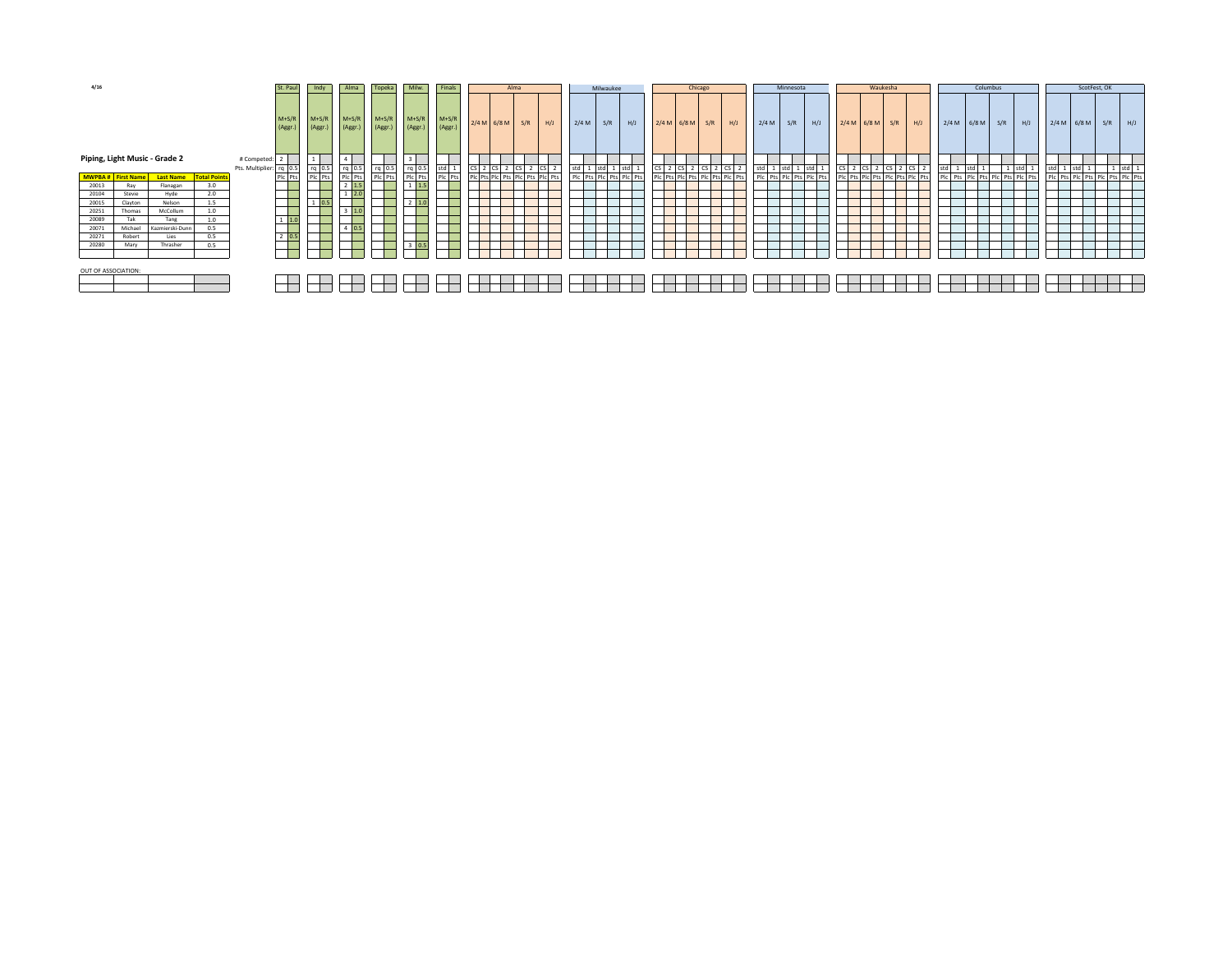| 4/16                          |         |                              | St. Pau             | Indy                | Alma              | Topeka             | Milw.              | Finals             | Alma                  |                    |                         | Milwaukee     |               |                                 | Chicago |       |                         | Minnesota     |                                 |     | Waukesha                |                   |     | Columbus      |     |                                                        |       | ScotFest, OK  |     |                                                          |                                                        |     |     |
|-------------------------------|---------|------------------------------|---------------------|---------------------|-------------------|--------------------|--------------------|--------------------|-----------------------|--------------------|-------------------------|---------------|---------------|---------------------------------|---------|-------|-------------------------|---------------|---------------------------------|-----|-------------------------|-------------------|-----|---------------|-----|--------------------------------------------------------|-------|---------------|-----|----------------------------------------------------------|--------------------------------------------------------|-----|-----|
|                               |         |                              |                     |                     | $M+S/F$<br>(Aggr. | $M+S/R$<br>(Aggr.) | $M+S/R$<br>(Aggr.) | $M+S/R$<br>(Aggr.) | $M+S/R$<br>(Aggr.)    | $M+S/R$<br>(Aggr.) |                         | $2/4 M$ 6/8 M | S/R           | H/J                             | 2/4 M   | S/R   | H/J                     | $2/4 M$ 6/8 M | S/R                             | H/J | 2/4 M                   | S/R               | H/J | $2/4 M$ 6/8 M | S/R | H/J                                                    |       | $2/4 M$ 6/8 M | S/R | H/J                                                      | $2/4 M$ 6/8 M                                          | S/R | H/J |
| Piping, Light Music - Grade 2 |         |                              |                     | # Competed: 2       |                   |                    |                    |                    |                       |                    |                         |               |               |                                 |         |       |                         |               |                                 |     |                         |                   |     |               |     |                                                        |       |               |     |                                                          |                                                        |     |     |
|                               |         |                              |                     | Pts. Multiplier: rq |                   |                    |                    |                    | rq                    | std                | $\overline{\mathsf{c}}$ |               | $2$ CS $2$ CS |                                 | std 1   | std 1 |                         | CS            | 2 CS 2 CS                       |     |                         | std 1 std 1 std 1 |     |               |     | CS 2 CS 2 CS 2 CS 2<br>Plc Pts Plc Pts Plc Pts Plc Pts | std 1 | std 1         |     |                                                          | std 1 std 1 1 std 1<br>Plc Pts Plc Pts Plc Pts Plc Pts |     |     |
|                               |         | MWPBA # First Name Last Name | <b>Total Points</b> |                     | Pic Pts           | rq 0.5<br>Plc Pts  | rq 0.5<br>Plc Pts  | rq 0.5<br>Plc Pts  | Plc Pts               | Plc Pts            |                         |               |               | PIC Pts PIC Pts PIC Pts PIC Pts |         |       | Plc Pts Plc Pts Plc Pts |               | Plc Pts Plc Pts Plc Pts Plc Pts |     | Plc Pts Plc Pts Plc Pts |                   |     |               |     |                                                        |       |               |     | std 1 std 1 1 1 std 1<br>Plc Pts Plc Pts Plc Pts Plc Pts |                                                        |     |     |
| 20013                         | Ray     | Flanagan                     | 3.0                 |                     |                   |                    | 1.5                |                    | $1 \quad 1.5$         |                    |                         |               |               |                                 |         |       |                         |               |                                 |     |                         |                   |     |               |     |                                                        |       |               |     |                                                          |                                                        |     |     |
| 20104                         | Stevie  | Hyde                         | 2.0                 |                     |                   |                    | 2.0                |                    |                       |                    |                         |               |               |                                 |         |       |                         |               |                                 |     |                         |                   |     |               |     |                                                        |       |               |     |                                                          |                                                        |     |     |
| 20015                         | Clayton | Nelson                       | 1.5                 |                     |                   |                    |                    |                    | $2 \quad 1.0$         |                    |                         |               |               |                                 |         |       |                         |               |                                 |     |                         |                   |     |               |     |                                                        |       |               |     |                                                          |                                                        |     |     |
| 20251                         | Thomas  | McCollum                     | 1.0                 |                     |                   |                    |                    |                    |                       |                    |                         |               |               |                                 |         |       |                         |               |                                 |     |                         |                   |     |               |     |                                                        |       |               |     |                                                          |                                                        |     |     |
| 20089                         | Tak     | Tang                         | 1.0                 |                     | $1 \quad 1.0$     |                    |                    |                    |                       |                    |                         |               |               |                                 |         |       |                         |               |                                 |     |                         |                   |     |               |     |                                                        |       |               |     |                                                          |                                                        |     |     |
| 20071                         | Michael | Kazmierski-Dunn              | 0.5                 |                     |                   |                    | __<br>0.5          |                    |                       |                    |                         |               |               |                                 |         |       |                         |               |                                 |     |                         |                   |     |               |     |                                                        |       |               |     |                                                          |                                                        |     |     |
| 20271                         | Robert  | Lies                         | 0.5                 |                     | $2^{n}$           |                    |                    |                    |                       |                    |                         |               |               |                                 |         |       |                         |               |                                 |     |                         |                   |     |               |     |                                                        |       |               |     |                                                          |                                                        |     |     |
| 20280                         | Mary    | Thrasher                     | 0.5                 |                     |                   |                    |                    |                    | 0.5<br>$\overline{a}$ |                    |                         |               |               |                                 |         |       |                         |               |                                 |     |                         |                   |     |               |     |                                                        |       |               |     |                                                          |                                                        |     |     |
|                               |         |                              |                     |                     |                   |                    |                    |                    |                       |                    |                         |               |               |                                 |         |       |                         |               |                                 |     |                         |                   |     |               |     |                                                        |       |               |     |                                                          |                                                        |     |     |
| OUT OF ASSOCIATION:           |         |                              |                     |                     |                   |                    |                    |                    |                       |                    |                         |               |               |                                 |         |       |                         |               |                                 |     |                         |                   |     |               |     |                                                        |       |               |     |                                                          |                                                        |     |     |
|                               |         |                              |                     |                     |                   |                    |                    |                    |                       |                    |                         |               |               |                                 |         |       |                         |               |                                 |     |                         |                   |     |               |     |                                                        |       |               |     |                                                          |                                                        |     |     |
|                               |         |                              |                     |                     |                   |                    |                    |                    |                       |                    |                         |               |               |                                 |         |       |                         |               |                                 |     |                         |                   |     |               |     |                                                        |       |               |     |                                                          |                                                        |     |     |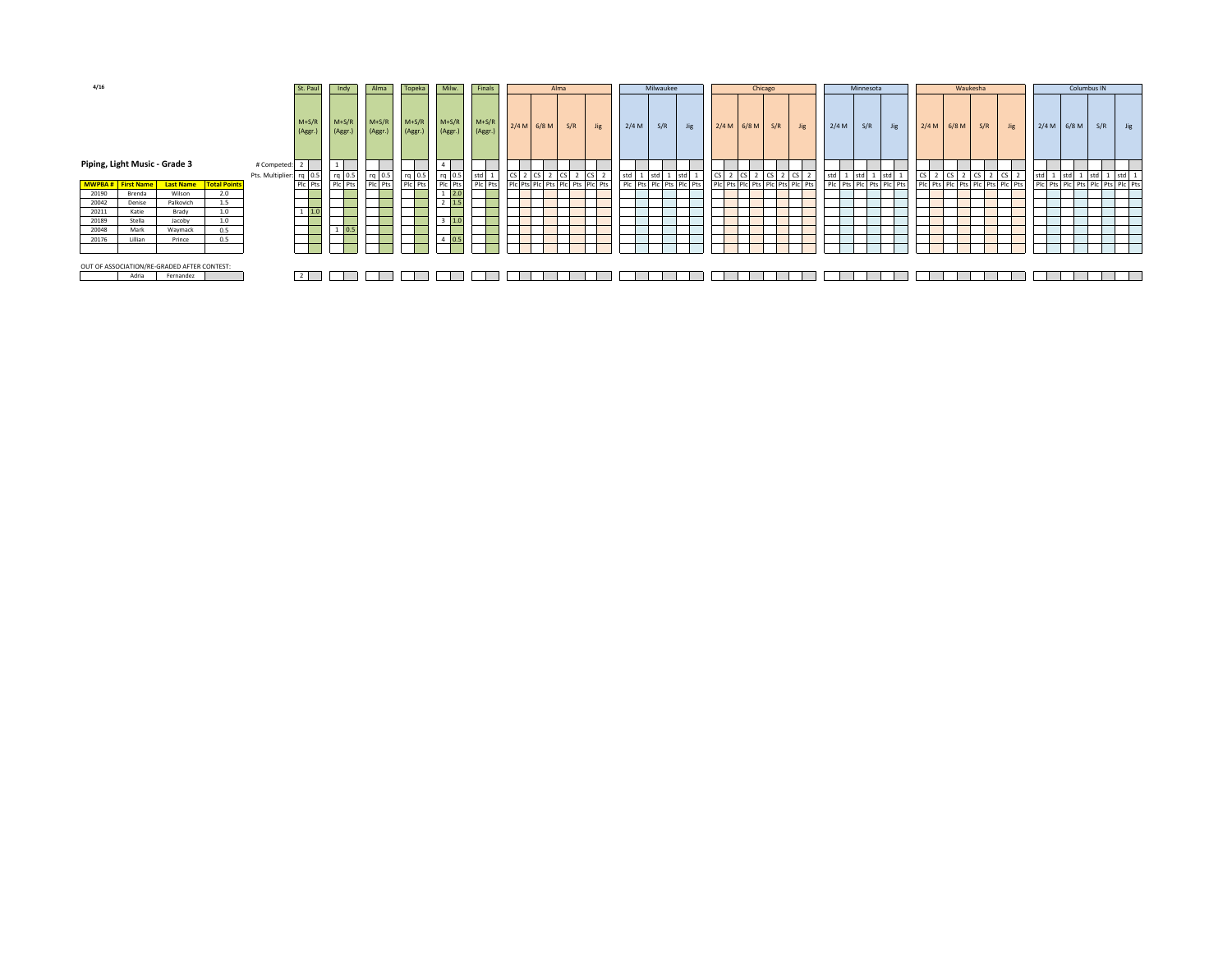| 4/16<br>St. Paul                            |                                                                                          | Indy                          | Alma | Topeka         | Milw.             | Finals             |                    |                    | Alma               |  | Milwaukee     |                                 | Chicago          |       |                       |                         | Minnesota |               |     | Waukesha                        |           |     |                         | Columbus IN |                    |     |                                 |                 |       |     |                                 |
|---------------------------------------------|------------------------------------------------------------------------------------------|-------------------------------|------|----------------|-------------------|--------------------|--------------------|--------------------|--------------------|--|---------------|---------------------------------|------------------|-------|-----------------------|-------------------------|-----------|---------------|-----|---------------------------------|-----------|-----|-------------------------|-------------|--------------------|-----|---------------------------------|-----------------|-------|-----|---------------------------------|
|                                             | $M+S/R$<br>$M+S/R$<br>(Aggr.)<br>(Aggr.)<br>Piping, Light Music - Grade 3<br># Competed: |                               |      |                |                   | $M+S/R$<br>(Aggr.) | $M+S/R$<br>(Aggr.) | $M+S/R$<br>(Aggr.) | $M+S/R$<br>(Aggr.) |  | $2/4 M$ 6/8 M | S/R                             | <b>Jig</b>       | 2/4 M | S/R                   | <b>Jig</b>              |           | $2/4 M$ 6/8 M | S/R | <b>Jig</b>                      | 2/4 M     | S/R | <b>Jig</b>              |             | $2/4 M$ 6/8 M      | S/R | <b>Jig</b>                      | 2/4 M           | 6/8 M | S/R | <b>Jig</b>                      |
|                                             |                                                                                          |                               |      |                |                   |                    |                    |                    |                    |  |               |                                 |                  |       |                       |                         |           |               |     |                                 |           |     |                         |             |                    |     |                                 |                 |       |     |                                 |
|                                             | Pts. Multiplier: rq 0.5                                                                  |                               |      |                |                   | $rq$ 0.5           | $rq$ 0.5           | $rq$ 0.5           | std                |  | 2 CS 2        |                                 | $2 \, \text{CS}$ | std   | 1 std<br>$\mathbf{1}$ | std                     |           |               |     | $CS$ 2 $CS$ 2 $CS$ 2 $CS$ 2     | std 1 std |     | 1 std                   |             | $CS$ 2 $CS$ 2 $CS$ |     | CS I                            | std 1 std 1 std |       |     | $1$ std $1$                     |
| <b>MWPBA#</b> First Name                    |                                                                                          | <b>Last Name Total Points</b> |      | Plc Pts        | rq 0.5<br>Plc Pts | Plc Pts            | Plc Pts            | Plc Pts            | PIc Pts            |  |               | Pic Pts Pic Pts Pic Pts Pic Pts |                  |       |                       | Pic Pts Pic Pts Pic Pts |           |               |     | PIC Pts PIC Pts PIC Pts PIC Pts |           |     | Plc Pts Plc Pts Plc Pts |             |                    |     | Pic Pts Pic Pts Pic Pts Pic Pts |                 |       |     | PIC Pts PIC Pts PIC Pts PIC Pts |
| 20190                                       | Brenda                                                                                   | Wilson                        | 2.0  |                |                   |                    |                    |                    |                    |  |               |                                 |                  |       |                       |                         |           |               |     |                                 |           |     |                         |             |                    |     |                                 |                 |       |     |                                 |
| 20042                                       | Denise                                                                                   | Palkovich                     | 1.5  |                |                   |                    |                    |                    |                    |  |               |                                 |                  |       |                       |                         |           |               |     |                                 |           |     |                         |             |                    |     |                                 |                 |       |     |                                 |
| 20211                                       | Katie                                                                                    | Brady                         | 1.0  | $1 \quad 1.0$  |                   |                    |                    |                    |                    |  |               |                                 |                  |       |                       |                         |           |               |     |                                 |           |     |                         |             |                    |     |                                 |                 |       |     |                                 |
| 20189                                       | Stella                                                                                   | Jacoby                        | 1.0  |                |                   |                    |                    | 1.0                |                    |  |               |                                 |                  |       |                       |                         |           |               |     |                                 |           |     |                         |             |                    |     |                                 |                 |       |     |                                 |
| 20048                                       | Mark                                                                                     | Waymack                       | 0.5  |                | 0.5               |                    |                    |                    |                    |  |               |                                 |                  |       |                       |                         |           |               |     |                                 |           |     |                         |             |                    |     |                                 |                 |       |     |                                 |
| 20176                                       | Lillian                                                                                  | Prince                        | 0.5  |                |                   |                    |                    | 0.5                |                    |  |               |                                 |                  |       |                       |                         |           |               |     |                                 |           |     |                         |             |                    |     |                                 |                 |       |     |                                 |
|                                             |                                                                                          |                               |      | <u> — </u>     |                   |                    |                    |                    |                    |  |               |                                 |                  |       |                       |                         |           |               |     |                                 |           |     |                         |             |                    |     |                                 |                 |       |     |                                 |
| OUT OF ASSOCIATION/RE-GRADED AFTER CONTEST: |                                                                                          |                               |      |                |                   |                    |                    |                    |                    |  |               |                                 |                  |       |                       |                         |           |               |     |                                 |           |     |                         |             |                    |     |                                 |                 |       |     |                                 |
|                                             | Adria                                                                                    | Fernandez                     |      | $\overline{2}$ |                   |                    |                    |                    |                    |  |               |                                 |                  |       |                       |                         |           |               |     |                                 |           |     |                         |             |                    |     |                                 |                 |       |     |                                 |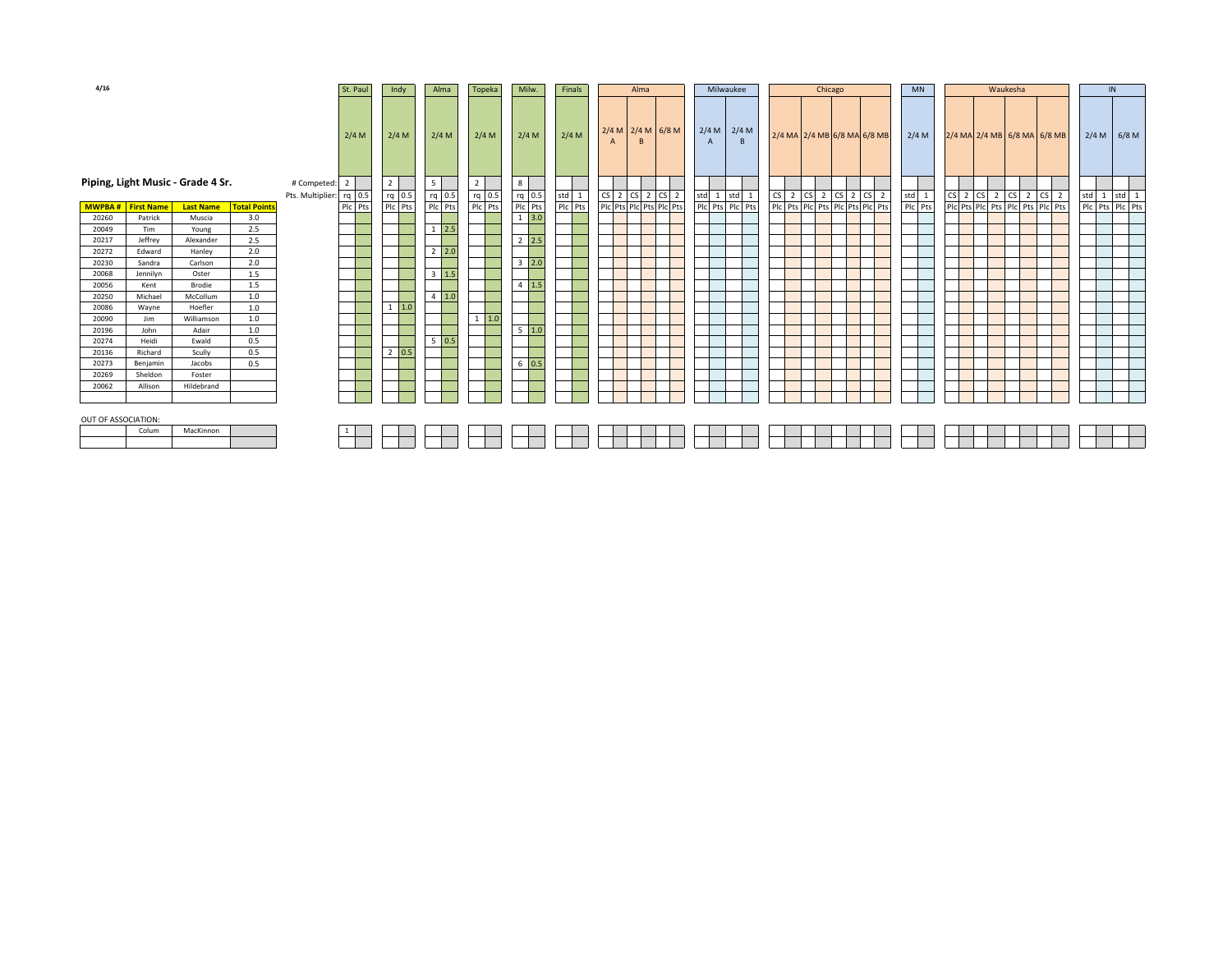| 4/16                      |          |                                   |                     | St. Paul<br>Indy        |                | Alma<br>Topeka |                | Milw.<br>Finals   |               | Alma               |     | Milwaukee |  |                         | Chicago             |                |       |                    | <b>MN</b> |  | Waukesha |  |                                 | IN      |  |                                 |  |                |  |                 |
|---------------------------|----------|-----------------------------------|---------------------|-------------------------|----------------|----------------|----------------|-------------------|---------------|--------------------|-----|-----------|--|-------------------------|---------------------|----------------|-------|--------------------|-----------|--|----------|--|---------------------------------|---------|--|---------------------------------|--|----------------|--|-----------------|
|                           |          |                                   |                     |                         | 2/4 M          |                | $2/4$ M        | 2/4 M             | 2/4 M         | 2/4 M              |     | $2/4$ M   |  |                         | $2/4 M$ 2/4 M 6/8 M | $\overline{A}$ |       | $2/4 M$ 2/4 M<br>B |           |  |          |  | 2/4 MA 2/4 MB 6/8 MA 6/8 MB     | 2/4 M   |  | 2/4 MA 2/4 MB 6/8 MA 6/8 MB     |  |                |  | $2/4 M$ 6/8 M   |
|                           |          | Piping, Light Music - Grade 4 Sr. |                     | # Competed:             | $\overline{2}$ |                | 2 <sub>2</sub> | 5                 | $2^{\circ}$   | 8                  |     |           |  |                         |                     |                |       |                    |           |  |          |  |                                 |         |  |                                 |  |                |  |                 |
|                           |          |                                   |                     | Pts. Multiplier: rq 0.5 |                |                | $rq$ 0.5       | rq 0.5            | $rq$ 0.5      | $rq$ 0.5           |     | $std$ 1   |  | $CS$ 2 $CS$ 2 $CS$ 2    |                     | std            | 1 std | 1                  |           |  |          |  | $CS$ 2 $CS$ 2 $CS$ 2 $CS$ 2     | std 1   |  | $CS$ 2 $CS$ 2 $CS$ 2 $CS$       |  | $\overline{2}$ |  | std 1 std 1     |
| <b>MWPBA # First Name</b> |          | <b>Last Name</b>                  | <b>Total Points</b> |                         | Plc Pts        |                | Plc Pts        | Plc Pts           | Plc Pts       | Plc Pts            |     | Plc Pts   |  | Plc Pts Plc Pts Plc Pts |                     |                |       | Plc Pts Plc Pts    |           |  |          |  | Plc Pts Plc Pts Plc Pts Plc Pts | Plc Pts |  | Plc Pts Plc Pts Plc Pts Plc Pts |  |                |  | Plc Pts Plc Pts |
| 20260                     | Patrick  | Muscia                            | 3.0                 |                         |                |                |                |                   |               |                    | 3.0 |           |  |                         |                     |                |       |                    |           |  |          |  |                                 |         |  |                                 |  |                |  |                 |
| 20049                     | Tim      | Young                             | 2.5                 |                         |                |                |                | 2.5               |               |                    |     |           |  |                         |                     |                |       |                    |           |  |          |  |                                 |         |  |                                 |  |                |  |                 |
| 20217                     | Jeffrey  | Alexander                         | 2.5                 |                         |                |                |                |                   |               | $2 \quad 2.5$      |     |           |  |                         |                     |                |       |                    |           |  |          |  |                                 |         |  |                                 |  |                |  |                 |
| 20272                     | Edward   | Hanley                            | 2.0                 |                         |                |                |                | $2 \quad 2.0$     |               |                    |     |           |  |                         |                     |                |       |                    |           |  |          |  |                                 |         |  |                                 |  |                |  |                 |
| 20230                     | Sandra   | Carlson                           | 2.0                 |                         |                |                |                |                   |               | $3 \quad 2.0$      |     |           |  |                         |                     |                |       |                    |           |  |          |  |                                 |         |  |                                 |  |                |  |                 |
| 20068                     | Jennilyn | Oster                             | 1.5                 |                         |                |                |                | $3 \mid 1.5$      |               |                    |     |           |  |                         |                     |                |       |                    |           |  |          |  |                                 |         |  |                                 |  |                |  |                 |
| 20056                     | Kent     | Brodie                            | 1.5                 |                         |                |                |                |                   |               | $4 \overline{1.5}$ |     |           |  |                         |                     |                |       |                    |           |  |          |  |                                 |         |  |                                 |  |                |  |                 |
| 20250                     | Michael  | McCollum                          | $1.0\,$             |                         |                |                |                | $4 \quad 1.0$     |               |                    |     |           |  |                         |                     |                |       |                    |           |  |          |  |                                 |         |  |                                 |  |                |  |                 |
| 20086                     | Wayne    | Hoefler                           | 1.0                 |                         |                |                | $1 \quad 1.0$  |                   |               |                    |     |           |  |                         |                     |                |       |                    |           |  |          |  |                                 |         |  |                                 |  |                |  |                 |
| 20090                     | Jim      | Williamson                        | $1.0$               |                         |                |                |                |                   | $1 \quad 1.0$ |                    |     |           |  |                         |                     |                |       |                    |           |  |          |  |                                 |         |  |                                 |  |                |  |                 |
| 20196                     | John     | Adair                             | $1.0$               |                         |                |                |                |                   |               | $5\quad 1.0$       |     |           |  |                         |                     |                |       |                    |           |  |          |  |                                 |         |  |                                 |  |                |  |                 |
| 20274                     | Heidi    | Ewald                             | 0.5                 |                         |                |                |                | $5\overline{0.5}$ |               |                    |     |           |  |                         |                     |                |       |                    |           |  |          |  |                                 |         |  |                                 |  |                |  |                 |
| 20136                     | Richard  | Scully                            | 0.5                 |                         |                |                | $2 \mid 0.5$   |                   |               |                    |     |           |  |                         |                     |                |       |                    |           |  |          |  |                                 |         |  |                                 |  |                |  |                 |
| 20273                     | Benjamin | Jacobs                            | 0.5                 |                         |                |                |                |                   |               | $6 \mid 0.5$       |     |           |  |                         |                     |                |       |                    |           |  |          |  |                                 |         |  |                                 |  |                |  |                 |
| 20269                     | Sheldon  | Foster                            |                     |                         |                |                |                |                   |               |                    |     |           |  |                         |                     |                |       |                    |           |  |          |  |                                 |         |  |                                 |  |                |  |                 |
| 20062                     | Allison  | Hildebrand                        |                     |                         |                |                |                |                   |               |                    |     |           |  |                         |                     |                |       |                    |           |  |          |  |                                 |         |  |                                 |  |                |  |                 |
|                           |          |                                   |                     |                         |                |                |                |                   |               |                    |     |           |  |                         |                     |                |       |                    |           |  |          |  |                                 |         |  |                                 |  |                |  |                 |
| OUT OF ASSOCIATION:       |          |                                   |                     |                         |                |                |                |                   |               |                    |     |           |  |                         |                     |                |       |                    |           |  |          |  |                                 |         |  |                                 |  |                |  |                 |
|                           | Colum    | MacKinnon                         |                     |                         |                |                |                |                   |               |                    |     |           |  |                         |                     |                |       |                    |           |  |          |  |                                 |         |  |                                 |  |                |  |                 |
|                           |          |                                   |                     |                         |                |                |                |                   |               |                    |     |           |  |                         |                     |                |       |                    |           |  |          |  |                                 |         |  |                                 |  |                |  |                 |
|                           |          |                                   |                     |                         |                |                |                |                   |               |                    |     |           |  |                         |                     |                |       |                    |           |  |          |  |                                 |         |  |                                 |  |                |  |                 |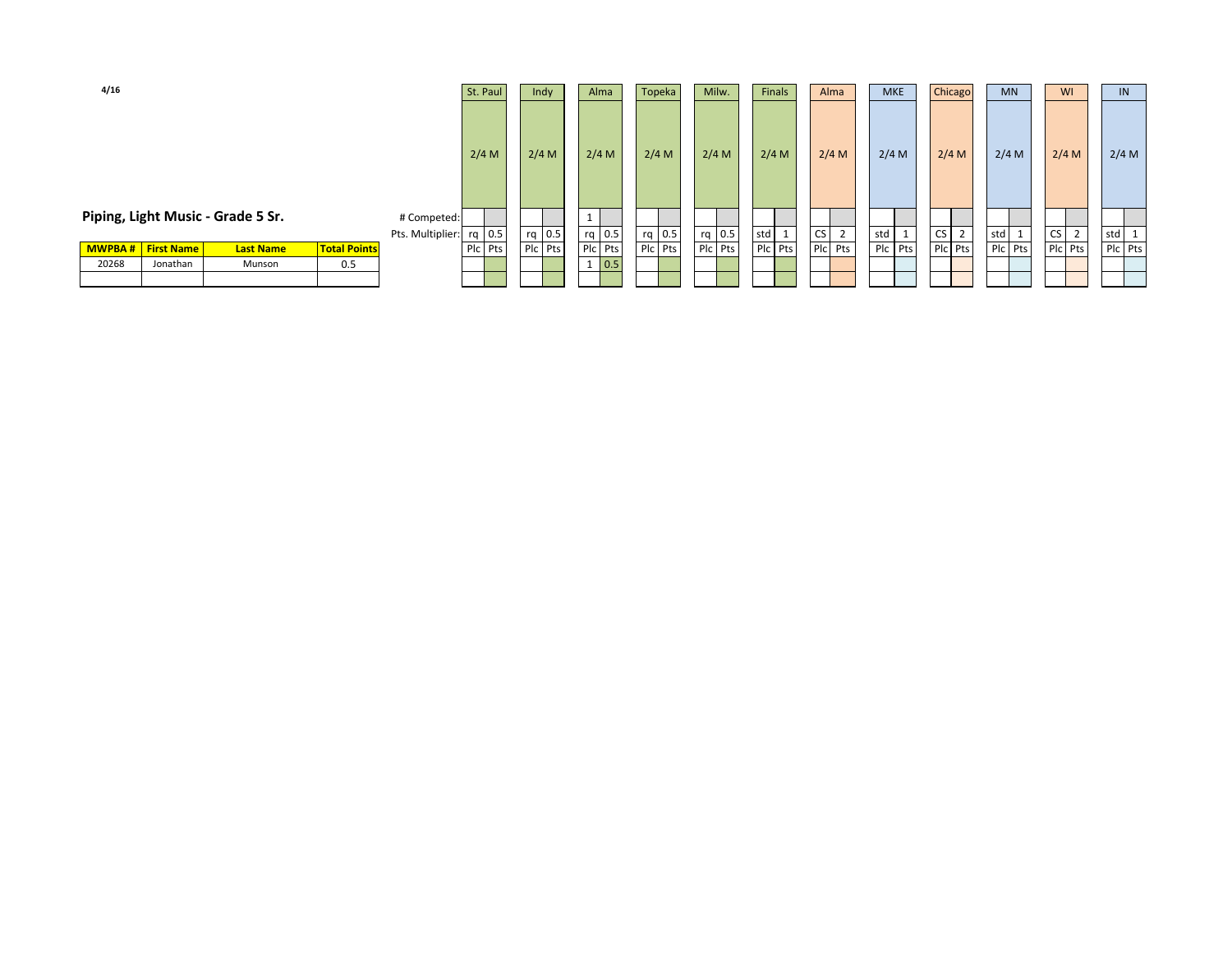| 4/16  |                           |                                   |                     |                  | St. Paul | Indy    | Alma                | Topeka   | Milw.   | Finals              | Alma                        | <b>MKE</b> | Chicago   | <b>MN</b> | <b>WI</b> | IN      |
|-------|---------------------------|-----------------------------------|---------------------|------------------|----------|---------|---------------------|----------|---------|---------------------|-----------------------------|------------|-----------|-----------|-----------|---------|
|       |                           |                                   |                     |                  | $2/4$ M  | 2/4 M   | 2/4 M               | 2/4 M    | 2/4 M   | $2/4$ M             | 2/4 M                       | 2/4 M      | 2/4 M     | $2/4$ M   | 2/4 M     | 2/4 M   |
|       |                           | Piping, Light Music - Grade 5 Sr. |                     | # Competed:      |          |         |                     |          |         |                     |                             |            |           |           |           |         |
|       |                           |                                   |                     | Pts. Multiplier: | $rq$ 0.5 | rq 0.5  | rq 0.5              | $rq$ 0.5 | rq 0.5  | std<br>$\mathbf{1}$ | <b>CS</b><br>$\overline{2}$ | std        | <b>CS</b> | std       | CS        | std     |
|       | <b>MWPBA # First Name</b> | <b>Last Name</b>                  | <b>Total Points</b> |                  | Plc Pts  | Plc Pts | Plc Pts             | Plc Pts  | Plc Pts | Plc Pts             | Plc Pts                     | Plc Pts    | Plc Pts   | Plc Pts   | Plc Pts   | Plc Pts |
| 20268 | Jonathan                  | Munson                            | 0.5                 |                  |          |         | 0.5<br>$\mathbf{1}$ |          |         |                     |                             |            |           |           |           |         |
|       |                           |                                   |                     |                  |          |         |                     |          |         |                     |                             |            |           |           |           |         |